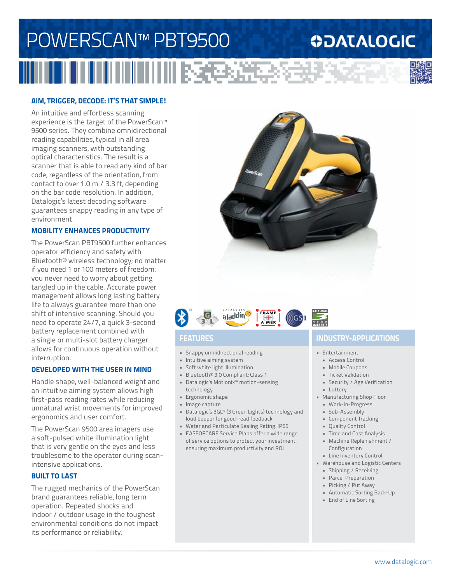# POWERSCAN™ PBT9500 III NGC 1952 Y

### **ODATALOGIC**



#### **AIM, TRIGGER, DECODE: IT'S THAT SIMPLE!**

An intuitive and effortless scanning experience is the target of the PowerScan™ 9500 series. They combine omnidirectional reading capabilities, typical in all area imaging scanners, with outstanding optical characteristics. The result is a scanner that is able to read any kind of bar code, regardless of the orientation, from contact to over 1.0 m / 3.3 ft, depending on the bar code resolution. In addition, Datalogic's latest decoding software guarantees snappy reading in any type of environment.

#### **MOBILITY ENHANCES PRODUCTIVITY**

The PowerScan PBT9500 further enhances operator efficiency and safety with Bluetooth® wireless technology; no matter if you need 1 or 100 meters of freedom: you never need to worry about getting tangled up in the cable. Accurate power management allows long lasting battery life to always guarantee more than one shift of intensive scanning. Should you need to operate 24/7, a quick 3-second battery replacement combined with a single or multi-slot battery charger allows for continuous operation without interruption.

#### **DEVELOPED WITH THE USER IN MIND**

Handle shape, well-balanced weight and an intuitive aiming system allows high first-pass reading rates while reducing unnatural wrist movements for improved ergonomics and user comfort.

The PowerScan 9500 area imagers use a soft-pulsed white illumination light that is very gentle on the eyes and less troublesome to the operator during scanintensive applications.

#### **BUILT TO LAST**

The rugged mechanics of the PowerScan brand guarantees reliable, long term operation. Repeated shocks and indoor / outdoor usage in the toughest environmental conditions do not impact its performance or reliability.





- Snappy omnidirectional reading
- Intuitive aiming system
- Soft white light illumination
- Bluetooth® 3.0 Compliant: Class 1 • Datalogic's Motionix™ motion-sensing
- technology
- Ergonomic shape
- Image capture
- Datalogic's 3GL™ (3 Green Lights) technology and loud beeper for good-read feedback
- Water and Particulate Sealing Rating: IP65
- EASEOFCARE Service Plans offer a wide range of service options to protect your investment, ensuring maximum productivity and ROI

### **FEATURES INDUSTRY-APPLICATIONS**

- Entertainment
	- Access Control
	- Mobile Coupons
	- Ticket Validation
	- Security / Age Verification
- Lottery
- Manufacturing Shop Floor
	- Work-in-Progress
	- Sub-Assembly
	- Component Tracking
	- Quality Control
	- Time and Cost Analysis • Machine Replenishment / Configuration
	- Line Inventory Control
- Warehouse and Logistic Centers
	- Shipping / Receiving
	- Parcel Preparation
	- Picking / Put Away
	- Automatic Sorting Back-Up
	- End of Line Sorting